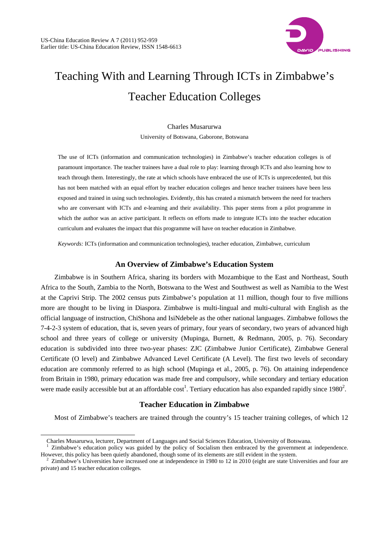

# Teaching With and Learning Through ICTs in Zimbabwe's Teacher Education Colleges

Charles Musarurwa University of Botswana, Gaborone, Botswana

The use of ICTs (information and communication technologies) in Zimbabwe's teacher education colleges is of paramount importance. The teacher trainees have a dual role to play: learning through ICTs and also learning how to teach through them. Interestingly, the rate at which schools have embraced the use of ICTs is unprecedented, but this has not been matched with an equal effort by teacher education colleges and hence teacher trainees have been less exposed and trained in using such technologies. Evidently, this has created a mismatch between the need for teachers who are conversant with ICTs and e-learning and their availability. This paper stems from a pilot programme in which the author was an active participant. It reflects on efforts made to integrate ICTs into the teacher education curriculum and evaluates the impact that this programme will have on teacher education in Zimbabwe.

*Keywords:* ICTs (information and communication technologies), teacher education, Zimbabwe, curriculum

## **An Overview of Zimbabwe's Education System**

Zimbabwe is in Southern Africa, sharing its borders with Mozambique to the East and Northeast, South Africa to the South, Zambia to the North, Botswana to the West and Southwest as well as Namibia to the West at the Caprivi Strip. The 2002 census puts Zimbabwe's population at 11 million, though four to five millions more are thought to be living in Diaspora. Zimbabwe is multi-lingual and multi-cultural with English as the official language of instruction, ChiShona and IsiNdebele as the other national languages. Zimbabwe follows the 7-4-2-3 system of education, that is, seven years of primary, four years of secondary, two years of advanced high school and three years of college or university (Mupinga, Burnett, & Redmann, 2005, p. 76). Secondary education is subdivided into three two-year phases: ZJC (Zimbabwe Junior Certificate), Zimbabwe General Certificate (O level) and Zimbabwe Advanced Level Certificate (A Level). The first two levels of secondary education are commonly referred to as high school (Mupinga et al., 2005, p. 76). On attaining independence from Britain in 1980, primary education was made free and compulsory, while secondary and tertiary education were made easily accessible but at an affordable cost<sup>1</sup>. Tertiary education has also expanded rapidly since  $1980^2$ .

# **Teacher Education in Zimbabwe**

Most of Zimbabwe's teachers are trained through the country's 15 teacher training colleges, of which 12

 $\overline{a}$ 

Charles Musarurwa, lecturer, Department of Languages and Social Sciences Education, University of Botswana.

<sup>1</sup> Zimbabwe's education policy was guided by the policy of Socialism then embraced by the government at independence. However, this policy has been quietly abandoned, though some of its elements are still evident in the system. 2

Zimbabwe's Universities have increased one at independence in 1980 to 12 in 2010 (eight are state Universities and four are private) and 15 teacher education colleges.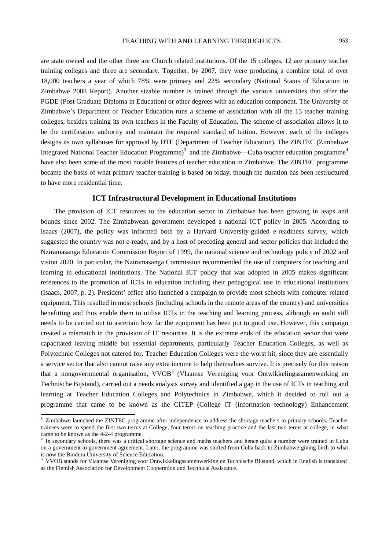are state owned and the other three are Church related institutions. Of the 15 colleges, 12 are primary teacher training colleges and three are secondary. Together, by 2007, they were producing a combine total of over 18,000 teachers a year of which 78% were primary and 22% secondary (National Status of Education in Zimbabwe 2008 Report). Another sizable number is trained through the various universities that offer the PGDE (Post Graduate Diploma in Education) or other degrees with an education component. The University of Zimbabwe's Department of Teacher Education runs a scheme of association with all the 15 teacher training colleges, besides training its own teachers in the Faculty of Education. The scheme of association allows it to be the certification authority and maintain the required standard of tuition. However, each of the colleges designs its own syllabuses for approval by DTE (Department of Teacher Education). The ZINTEC (Zimbabwe Integrated National Teacher Education Programme)<sup>3</sup> and the Zimbabwe—Cuba teacher education programme<sup>4</sup> have also been some of the most notable features of teacher education in Zimbabwe. The ZINTEC programme became the basis of what primary teacher training is based on today, though the duration has been restructured to have more residential time.

## **ICT Infrastructural Development in Educational Institutions**

The provision of ICT resources to the education sector in Zimbabwe has been growing in leaps and bounds since 2002. The Zimbabwean government developed a national ICT policy in 2005. According to Isaacs (2007), the policy was informed both by a Harvard University-guided e-readiness survey, which suggested the country was not e-ready, and by a host of preceding general and sector policies that included the Nziramasanga Education Commission Report of 1999, the national science and technology policy of 2002 and vision 2020. In particular, the Nziramasanga Commission recommended the use of computers for teaching and learning in educational institutions. The National ICT policy that was adopted in 2005 makes significant references to the promotion of ICTs in education including their pedagogical use in educational institutions (Isaacs, 2007, p. 2). President' office also launched a campaign to provide most schools with computer related equipment. This resulted in most schools (including schools in the remote areas of the country) and universities benefitting and thus enable them to utilise ICTs in the teaching and learning process, although an audit still needs to be carried out to ascertain how far the equipment has been put to good use. However, this campaign created a mismatch in the provision of IT resources. It is the extreme ends of the education sector that were capacitated leaving middle but essential departments, particularly Teacher Education Colleges, as well as Polytechnic Colleges not catered for. Teacher Education Colleges were the worst hit, since they are essentially a service sector that also cannot raise any extra income to help themselves survive. It is precisely for this reason that a nongovernmental organisation, VVOB<sup>5</sup> (Vlaamse Vereniging voor Ontwikkelingssamenwerking en Technische Bijstand), carried out a needs analysis survey and identified a gap in the use of ICTs in teaching and learning at Teacher Education Colleges and Polytechnics in Zimbabwe, which it decided to roll out a programme that came to be known as the CITEP (College IT (information technology) Enhancement

<sup>&</sup>lt;sup>3</sup> Zimbabwe launched the ZINTEC programme after independence to address the shortage teachers in primary schools. Teacher trainees were to spend the first two terms at College, four terms on teaching practice and the last two terms at college, in what came to be known as the 4-2-4 programme.

<sup>4</sup> In secondary schools, there was a critical shortage science and maths teachers and hence quite a number were trained in Cuba on a government to government agreement. Later, the programme was shifted from Cuba back to Zimbabwe giving birth to what is now the Bindura University of Science Education.

<sup>&</sup>lt;sup>5</sup> VVOB stands for Vlaamse Vereniging voor Ontwikkelingssamenwerking en Technische Bijstand, which in English is translated as the Flemish Association for Development Cooperation and Technical Assistance.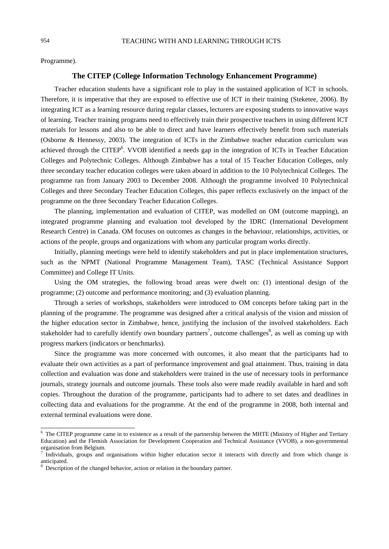Programme).

## **The CITEP (College Information Technology Enhancement Programme)**

Teacher education students have a significant role to play in the sustained application of ICT in schools. Therefore, it is imperative that they are exposed to effective use of ICT in their training (Steketee, 2006). By integrating ICT as a learning resource during regular classes, lecturers are exposing students to innovative ways of learning. Teacher training programs need to effectively train their prospective teachers in using different ICT materials for lessons and also to be able to direct and have learners effectively benefit from such materials (Osborne & Hennessy, 2003). The integration of ICTs in the Zimbabwe teacher education curriculum was achieved through the CITEP<sup>6</sup>. VVOB identified a needs gap in the integration of ICTs in Teacher Education Colleges and Polytechnic Colleges. Although Zimbabwe has a total of 15 Teacher Education Colleges, only three secondary teacher education colleges were taken aboard in addition to the 10 Polytechnical Colleges. The programme ran from January 2003 to December 2008. Although the programme involved 10 Polytechnical Colleges and three Secondary Teacher Education Colleges, this paper reflects exclusively on the impact of the programme on the three Secondary Teacher Education Colleges.

The planning, implementation and evaluation of CITEP, was modelled on OM (outcome mapping), an integrated programme planning and evaluation tool developed by the IDRC (International Development Research Centre) in Canada. OM focuses on outcomes as changes in the behaviour, relationships, activities, or actions of the people, groups and organizations with whom any particular program works directly.

Initially, planning meetings were held to identify stakeholders and put in place implementation structures, such as the NPMT (National Programme Management Team), TASC (Technical Assistance Support Committee) and College IT Units.

Using the OM strategies, the following broad areas were dwelt on: (1) intentional design of the programme; (2) outcome and performance monitoring; and (3) evaluation planning.

Through a series of workshops, stakeholders were introduced to OM concepts before taking part in the planning of the programme. The programme was designed after a critical analysis of the vision and mission of the higher education sector in Zimbabwe, hence, justifying the inclusion of the involved stakeholders. Each stakeholder had to carefully identify own boundary partners<sup>7</sup>, outcome challenges<sup>8</sup>, as well as coming up with progress markers (indicators or benchmarks).

Since the programme was more concerned with outcomes, it also meant that the participants had to evaluate their own activities as a part of performance improvement and goal attainment. Thus, training in data collection and evaluation was done and stakeholders were trained in the use of necessary tools in performance journals, strategy journals and outcome journals. These tools also were made readily available in hard and soft copies. Throughout the duration of the programme, participants had to adhere to set dates and deadlines in collecting data and evaluations for the programme. At the end of the programme in 2008, both internal and external terminal evaluations were done.

 $\overline{a}$ 

<sup>&</sup>lt;sup>6</sup> The CITEP programme came in to existence as a result of the partnership between the MHTE (Ministry of Higher and Tertiary Education) and the Flemish Association for Development Cooperation and Technical Assistance (VVOB), a non-governmental organisation from Belgium.

<sup>7</sup> Individuals, groups and organisations within higher education sector it interacts with directly and from which change is anticipated.

<sup>&</sup>lt;sup>8</sup> Description of the changed behavior, action or relation in the boundary partner.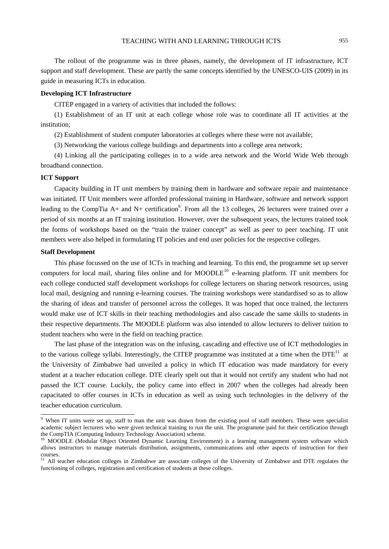The rollout of the programme was in three phases, namely, the development of IT infrastructure, ICT support and staff development. These are partly the same concepts identified by the UNESCO-UIS (2009) in its guide in measuring ICTs in education.

#### **Developing ICT Infrastructure**

CITEP engaged in a variety of activities that included the follows:

(1) Establishment of an IT unit at each college whose role was to coordinate all IT activities at the institution;

(2) Establishment of student computer laboratories at colleges where these were not available;

(3) Networking the various college buildings and departments into a college area network;

(4) Linking all the participating colleges in to a wide area network and the World Wide Web through broadband connection.

## **ICT Support**

Capacity building in IT unit members by training them in hardware and software repair and maintenance was initiated. IT Unit members were afforded professional training in Hardware, software and network support leading to the CompTia A+ and N+ certification<sup>9</sup>. From all the 13 colleges, 26 lecturers were trained over a period of six months at an IT training institution. However, over the subsequent years, the lectures trained took the forms of workshops based on the "train the trainer concept" as well as peer to peer teaching. IT unit members were also helped in formulating IT policies and end user policies for the respective colleges.

#### **Staff Development**

This phase focussed on the use of ICTs in teaching and learning. To this end, the programme set up server computers for local mail, sharing files online and for MOODLE<sup>10</sup> e-learning platform. IT unit members for each college conducted staff development workshops for college lecturers on sharing network resources, using local mail, designing and running e-learning courses. The training workshops were standardised so as to allow the sharing of ideas and transfer of personnel across the colleges. It was hoped that once trained, the lecturers would make use of ICT skills in their teaching methodologies and also cascade the same skills to students in their respective departments. The MOODLE platform was also intended to allow lecturers to deliver tuition to student teachers who were in the field on teaching practice.

The last phase of the integration was on the infusing, cascading and effective use of ICT methodologies in to the various college syllabi. Interestingly, the CITEP programme was instituted at a time when the  $DTE<sup>11</sup>$  at the University of Zimbabwe had unveiled a policy in which IT education was made mandatory for every student at a teacher education college. DTE clearly spelt out that it would not certify any student who had not passed the ICT course. Luckily, the policy came into effect in 2007 when the colleges had already been capacitated to offer courses in ICTs in education as well as using such technologies in the delivery of the teacher education curriculum.

<sup>&</sup>lt;sup>9</sup> When IT units were set up, staff to man the unit was drawn from the existing pool of staff members. These were specialist academic subject lecturers who were given technical training to run the unit. The programme paid for their certification through the CompTIA (Computing Industry Technology Association) scheme.

<sup>&</sup>lt;sup>10</sup> MOODLE (Modular Object Oriented Dynamic Learning Environment) is a learning management system software which allows instructors to manage materials distribution, assignments, communications and other aspects of instruction for their courses.

 $11$  All teacher education colleges in Zimbabwe are associate colleges of the University of Zimbabwe and DTE regulates the functioning of colleges, registration and certification of students at these colleges.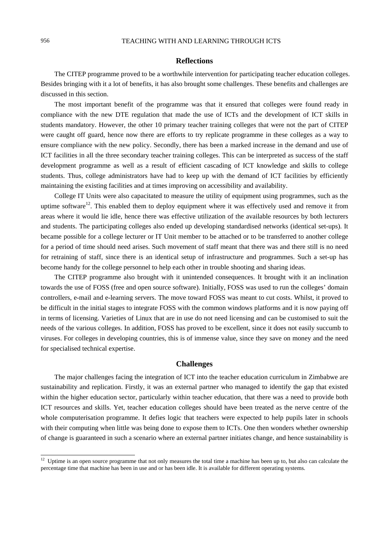# 956 TEACHING WITH AND LEARNING THROUGH ICTS

## **Reflections**

The CITEP programme proved to be a worthwhile intervention for participating teacher education colleges. Besides bringing with it a lot of benefits, it has also brought some challenges. These benefits and challenges are discussed in this section.

The most important benefit of the programme was that it ensured that colleges were found ready in compliance with the new DTE regulation that made the use of ICTs and the development of ICT skills in students mandatory. However, the other 10 primary teacher training colleges that were not the part of CITEP were caught off guard, hence now there are efforts to try replicate programme in these colleges as a way to ensure compliance with the new policy. Secondly, there has been a marked increase in the demand and use of ICT facilities in all the three secondary teacher training colleges. This can be interpreted as success of the staff development programme as well as a result of efficient cascading of ICT knowledge and skills to college students. Thus, college administrators have had to keep up with the demand of ICT facilities by efficiently maintaining the existing facilities and at times improving on accessibility and availability.

College IT Units were also capacitated to measure the utility of equipment using programmes, such as the uptime software<sup>12</sup>. This enabled them to deploy equipment where it was effectively used and remove it from areas where it would lie idle, hence there was effective utilization of the available resources by both lecturers and students. The participating colleges also ended up developing standardised networks (identical set-ups). It became possible for a college lecturer or IT Unit member to be attached or to be transferred to another college for a period of time should need arises. Such movement of staff meant that there was and there still is no need for retraining of staff, since there is an identical setup of infrastructure and programmes. Such a set-up has become handy for the college personnel to help each other in trouble shooting and sharing ideas.

The CITEP programme also brought with it unintended consequences. It brought with it an inclination towards the use of FOSS (free and open source software). Initially, FOSS was used to run the colleges' domain controllers, e-mail and e-learning servers. The move toward FOSS was meant to cut costs. Whilst, it proved to be difficult in the initial stages to integrate FOSS with the common windows platforms and it is now paying off in terms of licensing. Varieties of Linux that are in use do not need licensing and can be customised to suit the needs of the various colleges. In addition, FOSS has proved to be excellent, since it does not easily succumb to viruses. For colleges in developing countries, this is of immense value, since they save on money and the need for specialised technical expertise.

#### **Challenges**

The major challenges facing the integration of ICT into the teacher education curriculum in Zimbabwe are sustainability and replication. Firstly, it was an external partner who managed to identify the gap that existed within the higher education sector, particularly within teacher education, that there was a need to provide both ICT resources and skills. Yet, teacher education colleges should have been treated as the nerve centre of the whole computerisation programme. It defies logic that teachers were expected to help pupils later in schools with their computing when little was being done to expose them to ICTs. One then wonders whether ownership of change is guaranteed in such a scenario where an external partner initiates change, and hence sustainability is

 $\overline{a}$ 

<sup>&</sup>lt;sup>12</sup> Uptime is an open source programme that not only measures the total time a machine has been up to, but also can calculate the percentage time that machine has been in use and or has been idle. It is available for different operating systems.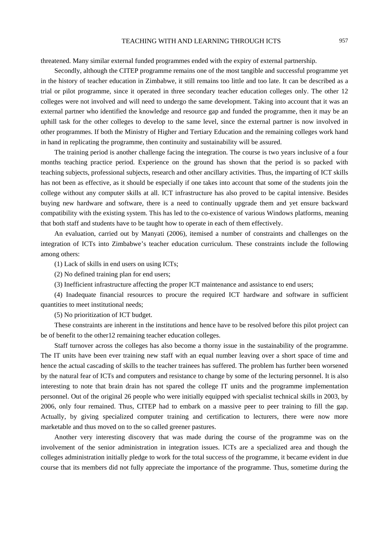threatened. Many similar external funded programmes ended with the expiry of external partnership.

Secondly, although the CITEP programme remains one of the most tangible and successful programme yet in the history of teacher education in Zimbabwe, it still remains too little and too late. It can be described as a trial or pilot programme, since it operated in three secondary teacher education colleges only. The other 12 colleges were not involved and will need to undergo the same development. Taking into account that it was an external partner who identified the knowledge and resource gap and funded the programme, then it may be an uphill task for the other colleges to develop to the same level, since the external partner is now involved in other programmes. If both the Ministry of Higher and Tertiary Education and the remaining colleges work hand in hand in replicating the programme, then continuity and sustainability will be assured.

The training period is another challenge facing the integration. The course is two years inclusive of a four months teaching practice period. Experience on the ground has shown that the period is so packed with teaching subjects, professional subjects, research and other ancillary activities. Thus, the imparting of ICT skills has not been as effective, as it should be especially if one takes into account that some of the students join the college without any computer skills at all. ICT infrastructure has also proved to be capital intensive. Besides buying new hardware and software, there is a need to continually upgrade them and yet ensure backward compatibility with the existing system. This has led to the co-existence of various Windows platforms, meaning that both staff and students have to be taught how to operate in each of them effectively.

An evaluation, carried out by Manyati (2006), itemised a number of constraints and challenges on the integration of ICTs into Zimbabwe's teacher education curriculum. These constraints include the following among others:

(1) Lack of skills in end users on using ICTs;

(2) No defined training plan for end users;

(3) Inefficient infrastructure affecting the proper ICT maintenance and assistance to end users;

(4) Inadequate financial resources to procure the required ICT hardware and software in sufficient quantities to meet institutional needs;

(5) No prioritization of ICT budget.

These constraints are inherent in the institutions and hence have to be resolved before this pilot project can be of benefit to the other12 remaining teacher education colleges.

Staff turnover across the colleges has also become a thorny issue in the sustainability of the programme. The IT units have been ever training new staff with an equal number leaving over a short space of time and hence the actual cascading of skills to the teacher trainees has suffered. The problem has further been worsened by the natural fear of ICTs and computers and resistance to change by some of the lecturing personnel. It is also interesting to note that brain drain has not spared the college IT units and the programme implementation personnel. Out of the original 26 people who were initially equipped with specialist technical skills in 2003, by 2006, only four remained. Thus, CITEP had to embark on a massive peer to peer training to fill the gap. Actually, by giving specialized computer training and certification to lecturers, there were now more marketable and thus moved on to the so called greener pastures.

Another very interesting discovery that was made during the course of the programme was on the involvement of the senior administration in integration issues. ICTs are a specialized area and though the colleges administration initially pledge to work for the total success of the programme, it became evident in due course that its members did not fully appreciate the importance of the programme. Thus, sometime during the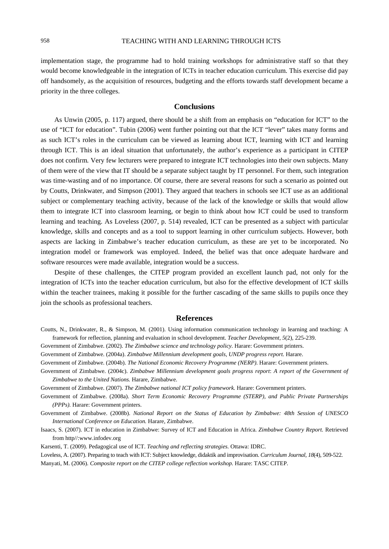implementation stage, the programme had to hold training workshops for administrative staff so that they would become knowledgeable in the integration of ICTs in teacher education curriculum. This exercise did pay off handsomely, as the acquisition of resources, budgeting and the efforts towards staff development became a priority in the three colleges.

## **Conclusions**

As Unwin (2005, p. 117) argued, there should be a shift from an emphasis on "education for ICT" to the use of "ICT for education". Tubin (2006) went further pointing out that the ICT "lever" takes many forms and as such ICT's roles in the curriculum can be viewed as learning about ICT, learning with ICT and learning through ICT. This is an ideal situation that unfortunately, the author's experience as a participant in CITEP does not confirm*.* Very few lecturers were prepared to integrate ICT technologies into their own subjects. Many of them were of the view that IT should be a separate subject taught by IT personnel. For them, such integration was time-wasting and of no importance. Of course, there are several reasons for such a scenario as pointed out by Coutts, Drinkwater, and Simpson (2001). They argued that teachers in schools see ICT use as an additional subject or complementary teaching activity, because of the lack of the knowledge or skills that would allow them to integrate ICT into classroom learning, or begin to think about how ICT could be used to transform learning and teaching. As Loveless (2007, p. 514) revealed, ICT can be presented as a subject with particular knowledge, skills and concepts and as a tool to support learning in other curriculum subjects. However, both aspects are lacking in Zimbabwe's teacher education curriculum, as these are yet to be incorporated. No integration model or framework was employed. Indeed, the belief was that once adequate hardware and software resources were made available, integration would be a success.

Despite of these challenges, the CITEP program provided an excellent launch pad, not only for the integration of ICTs into the teacher education curriculum, but also for the effective development of ICT skills within the teacher trainees, making it possible for the further cascading of the same skills to pupils once they join the schools as professional teachers.

## **References**

- Coutts, N., Drinkwater, R., & Simpson, M. (2001). Using information communication technology in learning and teaching: A framework for reflection, planning and evaluation in school development. *Teacher Development, 5*(2), 225-239.
- Government of Zimbabwe. (2002). *The Zimbabwe science and technology policy.* Harare: Government printers.
- Government of Zimbabwe. (2004a). *Zimbabwe Millennium development goals, UNDP progress report*. Harare.
- Government of Zimbabwe. (2004b). *The National Economic Recovery Programme (NERP)*. Harare: Government printers.
- Government of Zimbabwe. (2004c). *Zimbabwe Millennium development goals progress report*: *A report of the Government of Zimbabwe to the United Nations.* Harare, Zimbabwe.
- Government of Zimbabwe. (2007). *The Zimbabwe national ICT policy framework.* Harare: Government printers.
- Government of Zimbabwe. (2008a). *Short Term Economic Recovery Programme (STERP), and Public Private Partnerships (PPPs).* Harare: Government printers.
- Government of Zimbabwe. (2008b). *National Report on the Status of Education by Zimbabwe: 48th Session of UNESCO International Conference on Education.* Harare, Zimbabwe.
- Isaacs, S. (2007). ICT in education in Zimbabwe: Survey of ICT and Education in Africa. *Zimbabwe Country Report.* Retrieved from http//:www.infodev.org
- Karsenti, T. (2009). Pedagogical use of ICT. *Teaching and reflecting strategies*. Ottawa: IDRC.
- Loveless, A. (2007). Preparing to teach with ICT: Subject knowledge, didaktik and improvisation. *Curriculum Journal, 18*(4), 509-522. Manyati, M. (2006). *Composite report on the CITEP college reflection workshop.* Harare: TASC CITEP.